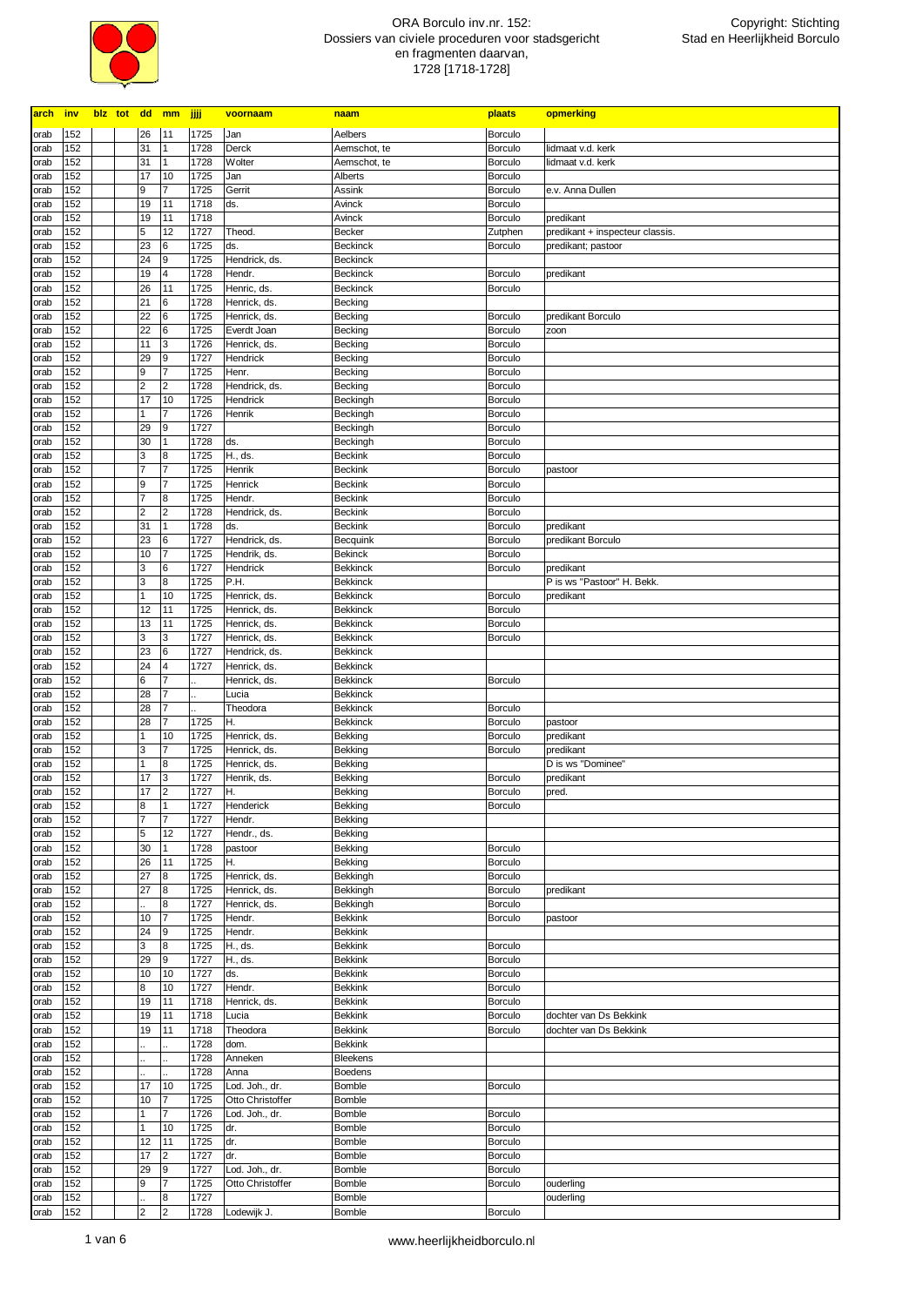

| arch inv     |            |  |                | blz tot dd mm jjjj               |              | voornaam                           | <u>naam</u>                        | plaats                           | opmerking                       |
|--------------|------------|--|----------------|----------------------------------|--------------|------------------------------------|------------------------------------|----------------------------------|---------------------------------|
| orab         | 152        |  | 26             | 11                               | 1725         | Jan                                | Aelbers                            | <b>Borculo</b>                   |                                 |
| orab         | 152        |  | 31             | $\mathbf{1}$                     | 1728         | Derck                              | Aemschot, te                       | <b>Borculo</b>                   | lidmaat v.d. kerk               |
| orab         | 152        |  | 31             | $\mathbf{1}$                     | 1728         | <b>Wolter</b>                      | Aemschot, te                       | <b>Borculo</b>                   | lidmaat v.d. kerk               |
| orab         | 152        |  | 17             | 10                               | 1725         | Jan                                | Alberts                            | Borculo                          |                                 |
| orab         | 152        |  | 9              | $\overline{7}$                   | 1725         | Gerrit                             | Assink                             | Borculo                          | e.v. Anna Dullen                |
| orab         | 152        |  | 19             | 11                               | 1718         | ds.                                | Avinck                             | <b>Borculo</b>                   |                                 |
| orab         | 152        |  | 19             | 11                               | 1718         |                                    | Avinck                             | <b>Borculo</b>                   | predikant                       |
| orab         | 152        |  | 5              | 12                               | 1727         | Theod.                             | Becker                             | Zutphen                          | predikant + inspecteur classis. |
| orab         | 152        |  | 23             | 6                                | 1725         | ds.                                | <b>Beckinck</b>                    | Borculo                          | predikant; pastoor              |
| orab         | 152        |  | 24             | 9                                | 1725         | Hendrick, ds.                      | <b>Beckinck</b>                    |                                  |                                 |
| orab         | 152        |  | 19             | $\overline{4}$                   | 1728         | Hendr.                             | <b>Beckinck</b>                    | Borculo                          | predikant                       |
| orab         | 152        |  | 26             | 11                               | 1725         | Henric, ds.                        | <b>Beckinck</b>                    | <b>Borculo</b>                   |                                 |
| orab         | 152        |  | 21             | 6                                | 1728         | Henrick, ds.                       | Becking                            |                                  |                                 |
| orab         | 152        |  | 22             | 6                                | 1725         | Henrick, ds.                       | Becking                            | <b>Borculo</b>                   | predikant Borculo               |
| orab         | 152        |  | 22<br>11       | 6                                | 1725         | Everdt Joan                        | Becking                            | <b>Borculo</b>                   | zoon                            |
| orab         | 152<br>152 |  | 29             | 3<br>9                           | 1726<br>1727 | Henrick, ds.<br>Hendrick           | Becking                            | <b>Borculo</b><br><b>Borculo</b> |                                 |
| orab<br>orab | 152        |  | 9              | $\overline{7}$                   | 1725         | Henr.                              | Becking<br>Becking                 | <b>Borculo</b>                   |                                 |
| orab         | 152        |  | 2              | $\overline{2}$                   | 1728         | Hendrick, ds.                      | Becking                            | <b>Borculo</b>                   |                                 |
| orab         | 152        |  | 17             | 10                               | 1725         | Hendrick                           | Beckingh                           | <b>Borculo</b>                   |                                 |
| orab         | 152        |  | 1              | $\overline{7}$                   | 1726         | Henrik                             | Beckingh                           | <b>Borculo</b>                   |                                 |
| orab         | 152        |  | 29             | 9                                | 1727         |                                    | Beckingh                           | <b>Borculo</b>                   |                                 |
| orab         | 152        |  | 30             | 1                                | 1728         | ds.                                | Beckingh                           | Borculo                          |                                 |
| orab         | 152        |  | 3              | 8                                | 1725         | H., ds.                            | <b>Beckink</b>                     | <b>Borculo</b>                   |                                 |
| orab         | 152        |  | 7              | $\overline{7}$                   | 1725         | Henrik                             | <b>Beckink</b>                     | <b>Borculo</b>                   | pastoor                         |
| orab         | 152        |  | 9              | $\overline{7}$                   | 1725         | Henrick                            | <b>Beckink</b>                     | <b>Borculo</b>                   |                                 |
| orab         | 152        |  | 7              | 8                                | 1725         | Hendr.                             | <b>Beckink</b>                     | <b>Borculo</b>                   |                                 |
| orab         | 152        |  | 2              | $\overline{2}$                   | 1728         | Hendrick, ds.                      | <b>Beckink</b>                     | Borculo                          |                                 |
| orab         | 152        |  | 31             | $\overline{1}$                   | 1728         | ds.                                | <b>Beckink</b>                     | <b>Borculo</b>                   | predikant                       |
| orab         | 152        |  | 23             | 6                                | 1727         | Hendrick, ds.                      | Becquink                           | <b>Borculo</b>                   | predikant Borculo               |
| orab         | 152        |  | 10             | $\overline{7}$                   | 1725         | Hendrik, ds.                       | <b>Bekinck</b>                     | Borculo                          |                                 |
| orab         | 152        |  | 3              | 6                                | 1727         | Hendrick                           | <b>Bekkinck</b>                    | Borculo                          | predikant                       |
| orab         | 152        |  | 3              | 8                                | 1725         | P.H.                               | <b>Bekkinck</b>                    |                                  | P is ws "Pastoor" H. Bekk.      |
| orab         | 152        |  | 1              | 10                               | 1725         | Henrick, ds.                       | <b>Bekkinck</b>                    | <b>Borculo</b>                   | predikant                       |
| orab         | 152        |  | 12             | 11                               | 1725         | Henrick, ds.                       | <b>Bekkinck</b>                    | <b>Borculo</b>                   |                                 |
| orab         | 152        |  | 13             | 11                               | 1725         | Henrick, ds.                       | <b>Bekkinck</b>                    | <b>Borculo</b>                   |                                 |
| orab         | 152        |  | 3              | 3                                | 1727         | Henrick, ds.                       | <b>Bekkinck</b>                    | <b>Borculo</b>                   |                                 |
| orab         | 152        |  | 23             | 6                                | 1727         | Hendrick, ds.                      | <b>Bekkinck</b>                    |                                  |                                 |
| orab         | 152        |  | 24             | $\overline{4}$                   | 1727         | Henrick, ds.                       | <b>Bekkinck</b>                    |                                  |                                 |
| orab         | 152        |  | 6              | $\overline{7}$                   |              | Henrick, ds.                       | <b>Bekkinck</b>                    | Borculo                          |                                 |
| orab         | 152        |  | 28             | $\overline{7}$                   |              | Lucia                              | <b>Bekkinck</b>                    |                                  |                                 |
| orab         | 152<br>152 |  | 28<br>28       | $\overline{7}$<br>$\overline{7}$ |              | Theodora                           | <b>Bekkinck</b><br><b>Bekkinck</b> | <b>Borculo</b>                   |                                 |
| orab<br>orab | 152        |  | 1              | 10                               | 1725<br>1725 | Η.<br>Henrick, ds.                 | Bekking                            | <b>Borculo</b><br><b>Borculo</b> | pastoor<br>predikant            |
| orab         | 152        |  | 3              | $\overline{7}$                   | 1725         | Henrick, ds.                       | Bekking                            | <b>Borculo</b>                   | predikant                       |
| orab         | 152        |  | 1              | 8                                | 1725         | Henrick, ds.                       | Bekking                            |                                  | D is ws "Dominee"               |
| orab         | 152        |  | 17             | 3                                | 1727         | Henrik, ds.                        | Bekking                            | <b>Borculo</b>                   | predikant                       |
| orab         | 152        |  | 17             | $\overline{2}$                   | 1727         | Η.                                 | Bekking                            | <b>Borculo</b>                   | pred.                           |
| orab         | 152        |  | 8              | $\vert$ 1                        | 1727         | Henderick                          | Bekking                            | Borculo                          |                                 |
| orab         | 152        |  | $\overline{7}$ | 17                               | 1727         | Hendr.                             | Bekking                            |                                  |                                 |
| orab         | 152        |  | 5              | 12                               | 1727         | Hendr., ds.                        | Bekking                            |                                  |                                 |
| orab         | 152        |  | 30             | 1                                | 1728         | pastoor                            | Bekking                            | Borculo                          |                                 |
| orab         | 152        |  | 26             | 11                               | 1725         | Η.                                 | Bekking                            | Borculo                          |                                 |
| orab         | 152        |  | 27             | 8                                | 1725         | Henrick, ds.                       | Bekkingh                           | <b>Borculo</b>                   |                                 |
| orab         | 152        |  | 27             | 8                                | 1725         | Henrick, ds.                       | Bekkingh                           | <b>Borculo</b>                   | predikant                       |
| orab         | 152        |  |                | $\boldsymbol{8}$                 | 1727         | Henrick, ds.                       | Bekkingh                           | Borculo                          |                                 |
| orab         | 152        |  | 10             | 17                               | 1725         | Hendr.                             | <b>Bekkink</b>                     | Borculo                          | pastoor                         |
| orab         | 152        |  | 24             | 9                                | 1725         | Hendr.                             | <b>Bekkink</b>                     |                                  |                                 |
| orab         | 152        |  | 3              | 8                                | 1725         | H., ds.                            | Bekkink                            | <b>Borculo</b>                   |                                 |
| orab         | 152        |  | 29             | 9                                | 1727         | H., ds.                            | <b>Bekkink</b>                     | <b>Borculo</b>                   |                                 |
| orab         | 152        |  | 10             | 10                               | 1727         | ds.                                | <b>Bekkink</b>                     | <b>Borculo</b>                   |                                 |
| orab         | 152        |  | 8              | 10                               | 1727         | Hendr.                             | <b>Bekkink</b>                     | <b>Borculo</b>                   |                                 |
| orab         | 152        |  | 19             | 11                               | 1718         | Henrick, ds.                       | <b>Bekkink</b>                     | <b>Borculo</b>                   |                                 |
| orab         | 152        |  | 19             | 11                               | 1718         | Lucia                              | <b>Bekkink</b>                     | <b>Borculo</b>                   | dochter van Ds Bekkink          |
| orab         | 152        |  | 19             | 11                               | 1718         | Theodora                           | <b>Bekkink</b>                     | Borculo                          | dochter van Ds Bekkink          |
| orab         | 152        |  |                |                                  | 1728         | dom.                               | <b>Bekkink</b>                     |                                  |                                 |
| orab         | 152        |  |                |                                  | 1728<br>1728 | Anneken                            | Bleekens                           |                                  |                                 |
| orab         | 152        |  | 17             |                                  | 1725         | Anna                               | Boedens                            |                                  |                                 |
| orab<br>orab | 152<br>152 |  | 10             | 10<br>$\overline{7}$             | 1725         | Lod. Joh., dr.<br>Otto Christoffer | <b>Bomble</b><br>Bomble            | Borculo                          |                                 |
| orab         | 152        |  |                | $\overline{7}$                   | 1726         | Lod. Joh., dr.                     | <b>Bomble</b>                      | Borculo                          |                                 |
| orab         | 152        |  | 1              | 10                               | 1725         | dr.                                | Bomble                             | Borculo                          |                                 |
| orab         | 152        |  | 12             | 11                               | 1725         | dr.                                | <b>Bomble</b>                      | <b>Borculo</b>                   |                                 |
| orab         | 152        |  | 17             | $\overline{2}$                   | 1727         | dr.                                | Bomble                             | <b>Borculo</b>                   |                                 |
| orab         | 152        |  | 29             | 9                                | 1727         | Lod. Joh., dr.                     | <b>Bomble</b>                      | <b>Borculo</b>                   |                                 |
| orab         | 152        |  | 9              | 17                               | 1725         | Otto Christoffer                   | Bomble                             | <b>Borculo</b>                   | ouderling                       |
| orab         | 152        |  |                | 8                                | 1727         |                                    | Bomble                             |                                  | ouderling                       |
| orab         | 152        |  | 2              | 2                                |              | 1728 Lodewijk J.                   | Bomble                             | <b>Borculo</b>                   |                                 |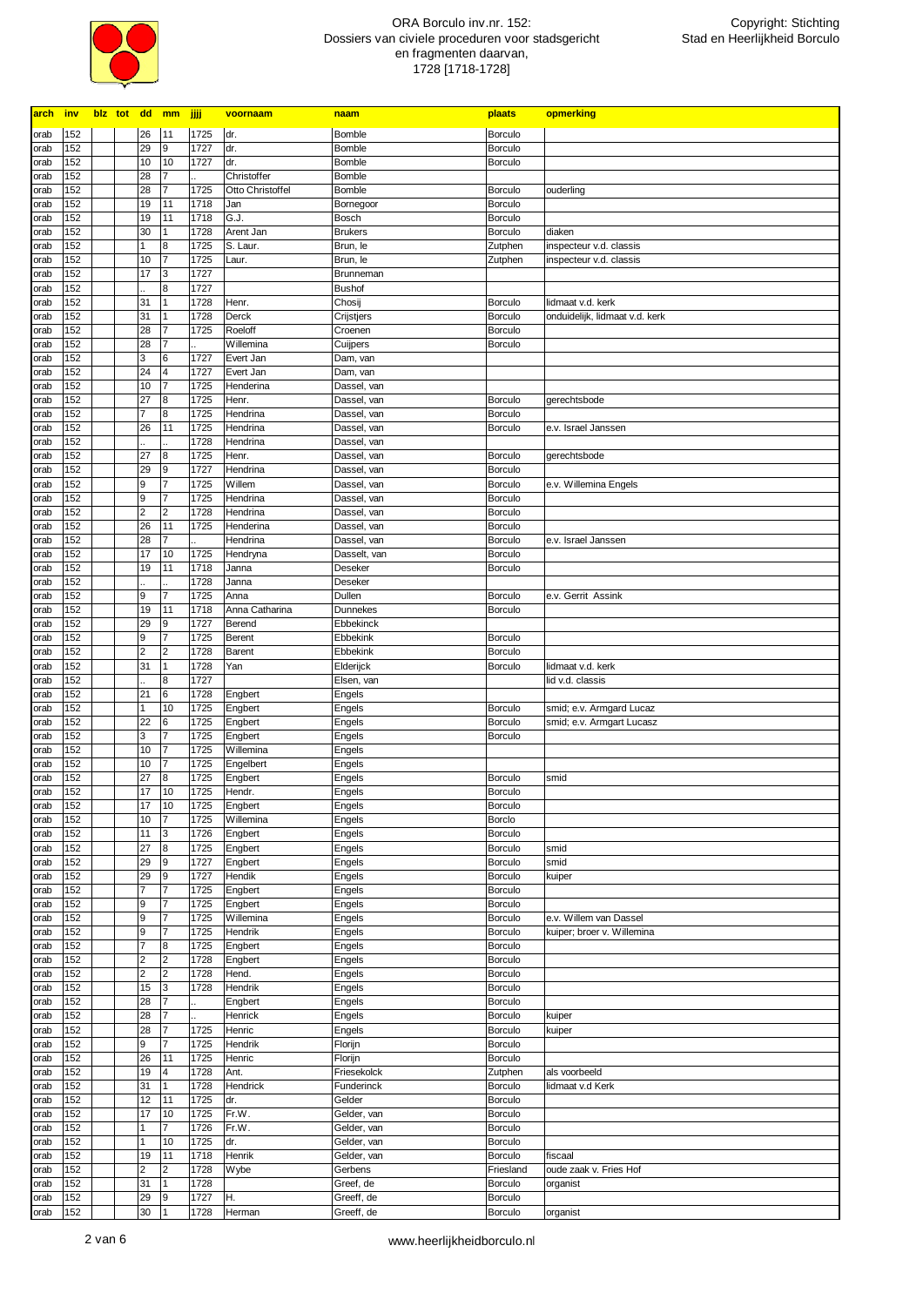

| <b>arch</b>  | inv        |  |                  | blz tot dd mm         | jjjj         | voornaam               | <b>naam</b>          | plaats             | opmerking                                             |
|--------------|------------|--|------------------|-----------------------|--------------|------------------------|----------------------|--------------------|-------------------------------------------------------|
| orab         | 152        |  | 26               | 11                    | 1725         | dr.                    | Bomble               | <b>Borculo</b>     |                                                       |
| orab         | 152        |  | 29               | 9                     | 1727         | dr.                    | Bomble               | <b>Borculo</b>     |                                                       |
| orab         | 152        |  | 10               | 10                    | 1727         | dr.                    | Bomble               | <b>Borculo</b>     |                                                       |
| orab         | 152        |  | 28               | $\overline{7}$        |              | Christoffer            | Bomble               |                    |                                                       |
| orab         | 152        |  | 28               | 7                     | 1725         | Otto Christoffel       | Bomble               | <b>Borculo</b>     | ouderling                                             |
| orab         | 152        |  | 19               | 11                    | 1718         | Jan                    | Bornegoor            | <b>Borculo</b>     |                                                       |
| orab         | 152        |  | 19               | 11                    | 1718         | G.J.                   | Bosch                | <b>Borculo</b>     |                                                       |
| orab         | 152        |  | 30               | 11                    | 1728         | Arent Jan              | <b>Brukers</b>       | <b>Borculo</b>     | diaken                                                |
| orab         | 152        |  | 1                | $\boldsymbol{8}$      | 1725         | S. Laur.               | Brun, le             | Zutphen            | inspecteur v.d. classis                               |
| orab         | 152        |  | 10               | 17                    | 1725         | Laur.                  | Brun, le             | Zutphen            | inspecteur v.d. classis                               |
| orab         | 152        |  | 17               | Iз                    | 1727         |                        | Brunneman            |                    |                                                       |
| orab         | 152        |  |                  | 8                     | 1727         |                        | <b>Bushof</b>        |                    |                                                       |
| orab         | 152        |  | 31               | 11                    | 1728         | Henr.                  | Chosij               | Borculo            | lidmaat v.d. kerk                                     |
| orab         | 152        |  | 31               | $\vert$ 1             | 1728         | Derck                  | Crijstjers           | <b>Borculo</b>     | onduidelijk, lidmaat v.d. kerk                        |
| orab         | 152        |  | 28               | 17<br>17              | 1725         | Roeloff                | Croenen              | <b>Borculo</b>     |                                                       |
| orab<br>orab | 152<br>152 |  | 28<br>3          | 6                     | 1727         | Willemina<br>Evert Jan | Cuijpers             | <b>Borculo</b>     |                                                       |
| orab         | 152        |  | 24               | 4                     | 1727         | Evert Jan              | Dam, van<br>Dam, van |                    |                                                       |
| orab         | 152        |  | 10               | 17                    | 1725         | Henderina              | Dassel, van          |                    |                                                       |
| orab         | 152        |  | 27               | 8                     | 1725         | Henr.                  | Dassel, van          | <b>Borculo</b>     | gerechtsbode                                          |
| orab         | 152        |  | 7                | 8                     | 1725         | Hendrina               | Dassel, van          | <b>Borculo</b>     |                                                       |
| orab         | 152        |  | 26               | 11                    | 1725         | Hendrina               | Dassel, van          | <b>Borculo</b>     | e.v. Israel Janssen                                   |
| orab         | 152        |  |                  |                       | 1728         | Hendrina               | Dassel, van          |                    |                                                       |
| orab         | 152        |  | 27               | 8                     | 1725         | Henr.                  | Dassel, van          | Borculo            | gerechtsbode                                          |
| orab         | 152        |  | 29               | g                     | 1727         | Hendrina               | Dassel, van          | <b>Borculo</b>     |                                                       |
| orab         | 152        |  | 9                | 17                    | 1725         | Willem                 | Dassel, van          | <b>Borculo</b>     | e.v. Willemina Engels                                 |
| orab         | 152        |  | 9                | 17                    | 1725         | Hendrina               | Dassel, van          | Borculo            |                                                       |
| orab         | 152        |  | $\overline{2}$   | $\overline{2}$        | 1728         | Hendrina               | Dassel, van          | <b>Borculo</b>     |                                                       |
| orab         | 152        |  | 26               | 11                    | 1725         | Henderina              | Dassel, van          | Borculo            |                                                       |
| orab         | 152        |  | 28               | $\overline{7}$        |              | Hendrina               | Dassel, van          | Borculo            | e.v. Israel Janssen                                   |
| orab         | 152        |  | 17               | 10                    | 1725         | Hendryna               | Dasselt, van         | Borculo            |                                                       |
| orab         | 152        |  | 19               | 11                    | 1718         | Janna                  | Deseker              | <b>Borculo</b>     |                                                       |
| orab         | 152        |  |                  |                       | 1728         | Janna                  | Deseker              |                    |                                                       |
| orab         | 152        |  | 9                | 17                    | 1725         | Anna                   | Dullen               | Borculo            | e.v. Gerrit Assink                                    |
| orab         | 152        |  | 19               | 11                    | 1718         | Anna Catharina         | Dunnekes             | Borculo            |                                                       |
| orab         | 152        |  | 29               | 9                     | 1727         | Berend                 | Ebbekinck            |                    |                                                       |
| orab         | 152        |  | $\boldsymbol{9}$ | 17                    | 1725         | Berent                 | Ebbekink             | <b>Borculo</b>     |                                                       |
| orab         | 152        |  | $\overline{2}$   | $\overline{2}$        | 1728         | Barent                 | Ebbekink             | <b>Borculo</b>     |                                                       |
| orab         | 152        |  | 31               | 11                    | 1728         | Yan                    | Elderijck            | <b>Borculo</b>     | lidmaat v.d. kerk                                     |
| orab         | 152        |  |                  | $\boldsymbol{8}$<br>6 | 1727         |                        | Elsen, van           |                    | lid v.d. classis                                      |
| orab         | 152<br>152 |  | 21<br>1          | 10                    | 1728<br>1725 | Engbert<br>Engbert     | Engels               | <b>Borculo</b>     |                                                       |
| orab<br>orab | 152        |  | 22               | 6                     | 1725         | Engbert                | Engels<br>Engels     | Borculo            | smid; e.v. Armgard Lucaz<br>smid; e.v. Armgart Lucasz |
| orab         | 152        |  | 3                | 17                    | 1725         | Engbert                | Engels               | <b>Borculo</b>     |                                                       |
| orab         | 152        |  | 10               | 17                    | 1725         | Willemina              | Engels               |                    |                                                       |
| orab         | 152        |  | 10               | 17                    | 1725         | Engelbert              | Engels               |                    |                                                       |
| orab         | 152        |  | 27               | $\boldsymbol{8}$      | 1725         | Engbert                | Engels               | Borculo            | smid                                                  |
| orab         | 152        |  | 17               | 10                    | 1725         | Hendr.                 | Engels               | Borculo            |                                                       |
| orab         | 152        |  | 17               | 10                    | 1725         | Engbert                | Engels               | Borculo            |                                                       |
| orab         | 152        |  | 10               | $\overline{7}$        | 1725         | Willemina              | Engels               | <b>Borclo</b>      |                                                       |
| orab         | 152        |  | 11               | 3                     | 1726         | Engbert                | Engels               | <b>Borculo</b>     |                                                       |
| orab         | 152        |  | 27               | 8                     | 1725         | Engbert                | Engels               | Borculo            | smid                                                  |
| orab         | 152        |  | 29               | 9                     | 1727         | Engbert                | Engels               | <b>Borculo</b>     | smid                                                  |
| orab         | 152        |  | 29               | 9                     | 1727         | Hendik                 | Engels               | Borculo            | kuiper                                                |
| orab         | 152        |  | $\overline{7}$   | 17                    | 1725         | Engbert                | Engels               | <b>Borculo</b>     |                                                       |
| orab         | 152        |  | 9                | 7                     | 1725         | Engbert                | Engels               | Borculo            |                                                       |
| orab         | 152        |  | 9                | 17                    | 1725         | Willemina              | Engels               | <b>Borculo</b>     | e.v. Willem van Dassel                                |
| orab         | 152        |  | 9                | 7                     | 1725         | Hendrik                | Engels               | <b>Borculo</b>     | kuiper; broer v. Willemina                            |
| orab         | 152        |  | $\overline{7}$   | 8                     | 1725         | Engbert                | Engels               | <b>Borculo</b>     |                                                       |
| orab         | 152        |  | $\overline{2}$   | $\overline{2}$        | 1728         | Engbert                | Engels               | Borculo            |                                                       |
| orab         | 152        |  | $\overline{2}$   | $\overline{2}$        | 1728         | Hend.                  | Engels               | Borculo            |                                                       |
| orab<br>orab | 152<br>152 |  | 15<br>28         | 3<br>7                | 1728         | Hendrik<br>Engbert     | Engels<br>Engels     | Borculo<br>Borculo |                                                       |
|              | 152        |  | 28               | 17                    |              | Henrick                | Engels               | <b>Borculo</b>     | kuiper                                                |
| orab         | 152        |  | 28               | 7                     | 1725         | Henric                 | Engels               | Borculo            | kuiper                                                |
| orab<br>orab | 152        |  | 9                | 7                     | 1725         | Hendrik                | Florijn              | Borculo            |                                                       |
| orab         | 152        |  | 26               | 11                    | 1725         | Henric                 | Florijn              | Borculo            |                                                       |
| orab         | 152        |  | 19               | 4                     | 1728         | Ant.                   | Friesekolck          | Zutphen            | als voorbeeld                                         |
| orab         | 152        |  | 31               | 1                     | 1728         | Hendrick               | Funderinck           | Borculo            | lidmaat v.d Kerk                                      |
| orab         | 152        |  | 12               | 11                    | 1725         | dr.                    | Gelder               | <b>Borculo</b>     |                                                       |
| orab         | 152        |  | 17               | 10                    | 1725         | Fr.W.                  | Gelder, van          | Borculo            |                                                       |
| orab         | 152        |  | 1                | 7                     | 1726         | Fr.W.                  | Gelder, van          | <b>Borculo</b>     |                                                       |
| orab         | 152        |  | 1                | 10                    | 1725         | dr.                    | Gelder, van          | Borculo            |                                                       |
| orab         | 152        |  | 19               | 11                    | 1718         | Henrik                 | Gelder, van          | Borculo            | fiscaal                                               |
| orab         | 152        |  | 2                | $\overline{2}$        | 1728         | Wybe                   | Gerbens              | Friesland          | oude zaak v. Fries Hof                                |
| orab         | 152        |  | 31               | 11                    | 1728         |                        | Greef, de            | Borculo            | organist                                              |
| orab         | 152        |  | 29               | 9                     | 1727         | Η.                     | Greeff, de           | Borculo            |                                                       |
| orab         | 152        |  | 30               | 11                    | 1728         | Herman                 | Greeff, de           | <b>Borculo</b>     | organist                                              |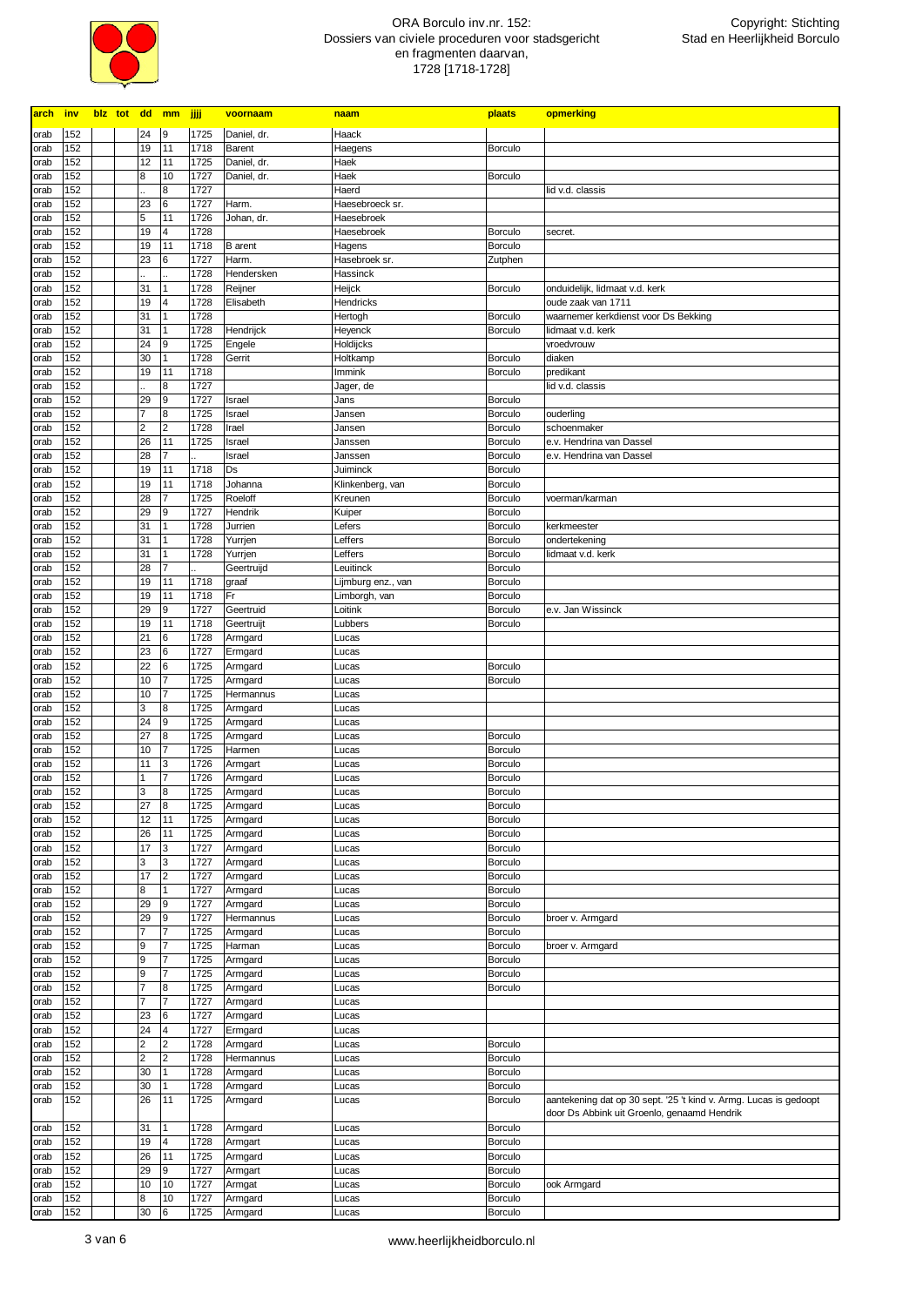

| arch inv     |            |  |                         | blz tot dd mm jjjj      |              | voornaam             | naam                | plaats                    | opmerking                                                                                                        |
|--------------|------------|--|-------------------------|-------------------------|--------------|----------------------|---------------------|---------------------------|------------------------------------------------------------------------------------------------------------------|
| orab         | 152        |  | 24                      | 9                       | 1725         | Daniel, dr.          | Haack               |                           |                                                                                                                  |
| orab         | 152        |  | 19                      | 11                      | 1718         | Barent               | Haegens             | <b>Borculo</b>            |                                                                                                                  |
| orab         | 152        |  | 12                      | 11                      | 1725         | Daniel, dr.          | Haek                |                           |                                                                                                                  |
| orab         | 152        |  | 8                       | 10                      | 1727         | Daniel, dr.          | Haek                | <b>Borculo</b>            |                                                                                                                  |
| orab         | 152        |  |                         | 8                       | 1727         |                      | Haerd               |                           | lid v.d. classis                                                                                                 |
| orab         | 152        |  | 23                      | $\,$ 6                  | 1727         | Harm.                | Haesebroeck sr.     |                           |                                                                                                                  |
| orab         | 152        |  | 5                       | 11                      | 1726         | Johan, dr.           | Haesebroek          |                           |                                                                                                                  |
| orab         | 152        |  | 19                      | 4                       | 1728         |                      | Haesebroek          | <b>Borculo</b>            | secret.                                                                                                          |
| orab         | 152        |  | 19                      | 11                      | 1718         | <b>B</b> arent       | Hagens              | <b>Borculo</b>            |                                                                                                                  |
| orab         | 152        |  | 23                      | 6                       | 1727         | Harm.                | Hasebroek sr.       | Zutphen                   |                                                                                                                  |
| orab         | 152        |  |                         | $\mathbf{1}$            | 1728         | Hendersken           | Hassinck            |                           |                                                                                                                  |
| orab<br>orab | 152<br>152 |  | 31<br>19                | 4                       | 1728<br>1728 | Reijner<br>Elisabeth | Heijck<br>Hendricks | <b>Borculo</b>            | onduidelijk, lidmaat v.d. kerk<br>oude zaak van 1711                                                             |
| orab         | 152        |  | 31                      | 1                       | 1728         |                      | Hertogh             | <b>Borculo</b>            | waarnemer kerkdienst voor Ds Bekking                                                                             |
| orab         | 152        |  | 31                      | 1                       | 1728         | Hendrijck            | Heyenck             | <b>Borculo</b>            | lidmaat v.d. kerk                                                                                                |
| orab         | 152        |  | 24                      | 9                       | 1725         | Engele               | Holdijcks           |                           | vroedvrouw                                                                                                       |
| orab         | 152        |  | 30                      | 1                       | 1728         | Gerrit               | Holtkamp            | <b>Borculo</b>            | diaken                                                                                                           |
| orab         | 152        |  | 19                      | 11                      | 1718         |                      | Immink              | <b>Borculo</b>            | predikant                                                                                                        |
| orab         | 152        |  |                         | 8                       | 1727         |                      | Jager, de           |                           | lid v.d. classis                                                                                                 |
| orab         | 152        |  | 29                      | 9                       | 1727         | Israel               | Jans                | <b>Borculo</b>            |                                                                                                                  |
| orab         | 152        |  | $\overline{7}$          | 8                       | 1725         | Israel               | Jansen              | <b>Borculo</b>            | ouderling                                                                                                        |
| orab         | 152        |  | $\overline{\mathbf{c}}$ | $\overline{\mathbf{c}}$ | 1728         | Irael                | Jansen              | <b>Borculo</b>            | schoenmaker                                                                                                      |
| orab         | 152        |  | 26                      | 11                      | 1725         | Israel               | Janssen             | <b>Borculo</b>            | e.v. Hendrina van Dassel                                                                                         |
| orab         | 152        |  | 28                      | $\overline{7}$          |              | Israel               | Janssen             | <b>Borculo</b>            | e.v. Hendrina van Dassel                                                                                         |
| orab         | 152        |  | 19                      | 11                      | 1718         | Ds                   | Juiminck            | <b>Borculo</b>            |                                                                                                                  |
| orab         | 152<br>152 |  | 19                      | 11<br>$\overline{7}$    | 1718<br>1725 | Johanna<br>Roeloff   | Klinkenberg, van    | Borculo<br><b>Borculo</b> |                                                                                                                  |
| orab<br>orab | 152        |  | 28<br>29                | 9                       | 1727         | Hendrik              | Kreunen<br>Kuiper   | Borculo                   | voerman/karman                                                                                                   |
| orab         | 152        |  | 31                      | 1                       | 1728         | Jurrien              | Lefers              | <b>Borculo</b>            | kerkmeester                                                                                                      |
| orab         | 152        |  | 31                      | $\mathbf{1}$            | 1728         | Yurrjen              | Leffers             | Borculo                   | ondertekening                                                                                                    |
| orab         | 152        |  | 31                      | $\mathbf{1}$            | 1728         | Yurrjen              | Leffers             | <b>Borculo</b>            | lidmaat v.d. kerk                                                                                                |
| orab         | 152        |  | 28                      | $\overline{7}$          |              | Geertruijd           | Leuitinck           | <b>Borculo</b>            |                                                                                                                  |
| orab         | 152        |  | 19                      | 11                      | 1718         | graaf                | Lijmburg enz., van  | <b>Borculo</b>            |                                                                                                                  |
| orab         | 152        |  | 19                      | 11                      | 1718         | Fr                   | Limborgh, van       | <b>Borculo</b>            |                                                                                                                  |
| orab         | 152        |  | 29                      | 9                       | 1727         | Geertruid            | Loitink             | <b>Borculo</b>            | e.v. Jan Wissinck                                                                                                |
| orab         | 152        |  | 19                      | 11                      | 1718         | Geertruijt           | Lubbers             | <b>Borculo</b>            |                                                                                                                  |
| orab         | 152        |  | 21                      | 6                       | 1728         | Armgard              | Lucas               |                           |                                                                                                                  |
| orab         | 152        |  | 23                      | 6                       | 1727         | Ermgard              | Lucas               |                           |                                                                                                                  |
| orab         | 152        |  | 22                      | 6                       | 1725         | Armgard              | Lucas               | <b>Borculo</b>            |                                                                                                                  |
| orab         | 152        |  | 10                      | $\overline{7}$          | 1725         | Armgard              | Lucas               | <b>Borculo</b>            |                                                                                                                  |
| orab         | 152        |  | 10                      | 7                       | 1725         | Hermannus            | Lucas               |                           |                                                                                                                  |
| orab         | 152<br>152 |  | 3<br>24                 | 8<br>9                  | 1725<br>1725 | Armgard<br>Armgard   | Lucas               |                           |                                                                                                                  |
| orab<br>orab | 152        |  | 27                      | 8                       | 1725         | Armgard              | Lucas<br>Lucas      | <b>Borculo</b>            |                                                                                                                  |
| orab         | 152        |  | 10                      | 7                       | 1725         | Harmen               | Lucas               | <b>Borculo</b>            |                                                                                                                  |
| orab         | 152        |  | 11                      | 3                       | 1726         | Armgart              | Lucas               | <b>Borculo</b>            |                                                                                                                  |
| orab         | 152        |  |                         | 7                       | 1726         | Armgard              | Lucas               | <b>Borculo</b>            |                                                                                                                  |
| orab         | 152        |  | 3                       | $\bf{8}$                | 1725         | Armgard              | Lucas               | <b>Borculo</b>            |                                                                                                                  |
| orab         | 152        |  | 27                      | $\overline{8}$          | 1725         | Armgard              | Lucas               | <b>Borculo</b>            |                                                                                                                  |
| orab         | 152        |  | 12                      | 11                      | 1725         | Armgard              | Lucas               | Borculo                   |                                                                                                                  |
| orab         | 152        |  | 26                      | 11                      | 1725         | Armgard              | Lucas               | Borculo                   |                                                                                                                  |
| orab         | 152        |  | 17                      | 3                       | 1727         | Armgard              | Lucas               | Borculo                   |                                                                                                                  |
| orab         | 152        |  | 3                       | $\mathbf{3}$            | 1727         | Armgard              | Lucas               | Borculo                   |                                                                                                                  |
| orab         | 152        |  | 17                      | $\overline{2}$          | 1727         | Armgard              | Lucas               | Borculo                   |                                                                                                                  |
| orab<br>orab | 152<br>152 |  | 8<br>29                 | $\mathbf{1}$<br>9       | 1727<br>1727 | Armgard<br>Armgard   | Lucas<br>Lucas      | Borculo<br>Borculo        |                                                                                                                  |
| orab         | 152        |  | 29                      | 9                       | 1727         | Hermannus            | Lucas               | Borculo                   | broer v. Armgard                                                                                                 |
| orab         | 152        |  | $\overline{7}$          | $\overline{7}$          | 1725         | Armgard              | Lucas               | Borculo                   |                                                                                                                  |
| orab         | 152        |  | 9                       | $\overline{7}$          | 1725         | Harman               | Lucas               | Borculo                   | broer v. Armgard                                                                                                 |
| orab         | 152        |  | 9                       | $\overline{7}$          | 1725         | Armgard              | Lucas               | Borculo                   |                                                                                                                  |
| orab         | 152        |  | 9                       | $\overline{7}$          | 1725         | Armgard              | Lucas               | Borculo                   |                                                                                                                  |
| orab         | 152        |  | $\overline{7}$          | 8                       | 1725         | Armgard              | Lucas               | Borculo                   |                                                                                                                  |
| orab         | 152        |  | 7                       | $\overline{7}$          | 1727         | Armgard              | Lucas               |                           |                                                                                                                  |
| orab         | 152        |  | 23                      | $\,$ 6                  | 1727         | Armgard              | Lucas               |                           |                                                                                                                  |
| orab         | 152        |  | 24                      | $\overline{4}$          | 1727         | Ermgard              | Lucas               |                           |                                                                                                                  |
| orab         | 152        |  | 2                       | $\overline{2}$          | 1728         | Armgard              | Lucas               | Borculo                   |                                                                                                                  |
| orab         | 152        |  | $\mathbf 2$             | $\overline{c}$          | 1728         | Hermannus            | Lucas               | Borculo                   |                                                                                                                  |
| orab         | 152        |  | 30                      | 1                       | 1728         | Armgard              | Lucas               | Borculo                   |                                                                                                                  |
| orab         | 152        |  | 30                      | 1                       | 1728         | Armgard              | Lucas               | <b>Borculo</b>            |                                                                                                                  |
| orab         | 152        |  | 26                      | 11                      | 1725         | Armgard              | Lucas               | <b>Borculo</b>            | aantekening dat op 30 sept. '25 't kind v. Armg. Lucas is gedoopt<br>door Ds Abbink uit Groenlo, genaamd Hendrik |
| orab         | 152        |  | 31                      |                         | 1728         | Armgard              | Lucas               | <b>Borculo</b>            |                                                                                                                  |
| orab         | 152        |  | 19                      | $\overline{4}$          | 1728         | Armgart              | Lucas               | Borculo                   |                                                                                                                  |
| orab         | 152        |  | 26                      | 11                      | 1725         | Armgard              | Lucas               | <b>Borculo</b>            |                                                                                                                  |
| orab         | 152        |  | 29                      | 9                       | 1727         | Armgart              | Lucas               | <b>Borculo</b>            |                                                                                                                  |
| orab         | 152        |  | 10                      | 10                      | 1727         | Armgat               | Lucas               | <b>Borculo</b>            | ook Armgard                                                                                                      |
| orab         | 152        |  | 8                       | 10                      | 1727         | Armgard              | Lucas               | Borculo                   |                                                                                                                  |
| orab         | 152        |  | 30                      | $\bf 6$                 | 1725         | Armgard              | Lucas               | Borculo                   |                                                                                                                  |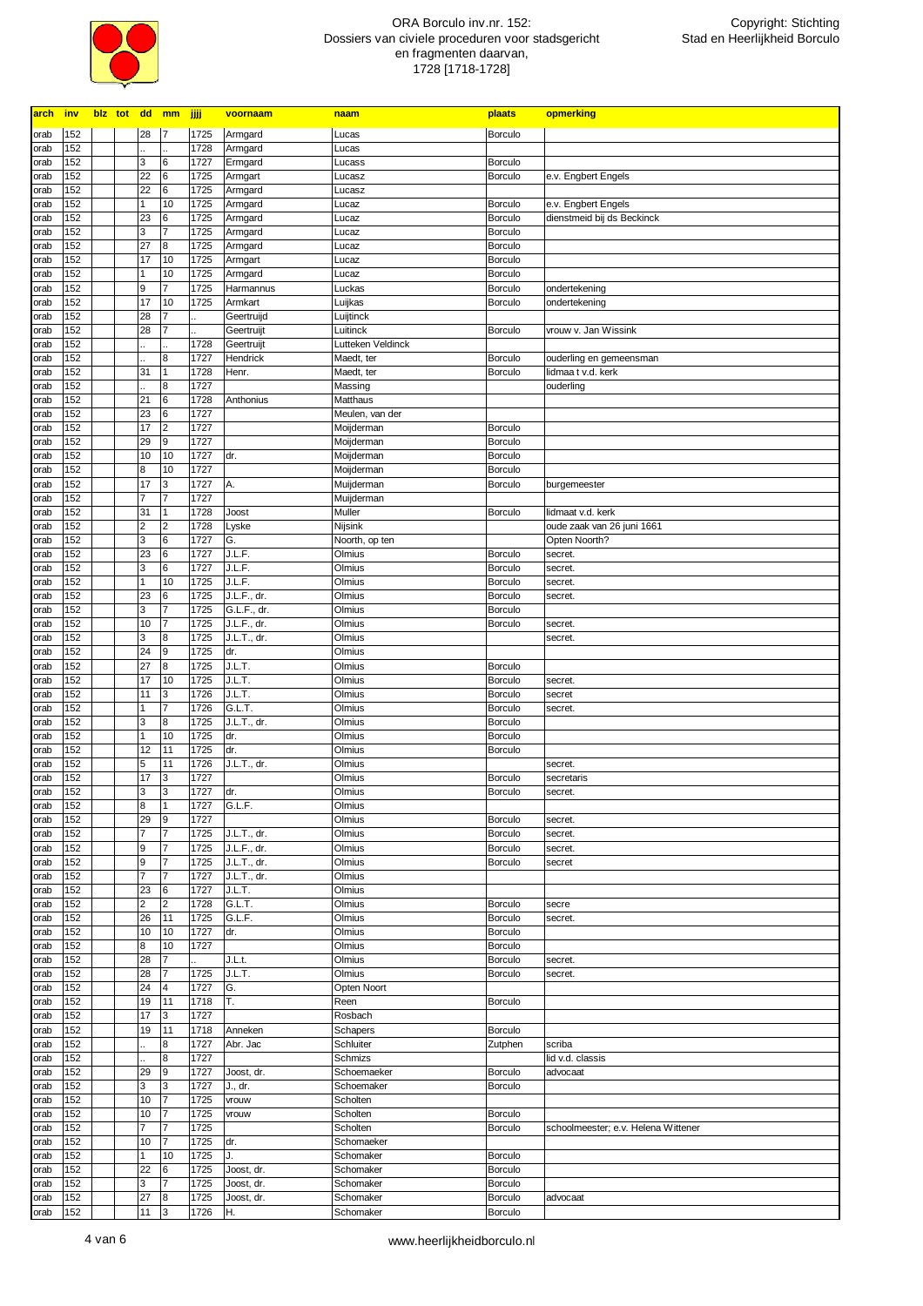

| arch         | <b>inv</b> | blz tot dd mm |                      |                                  | jjjj         | voornaam             | naam                     | plaats                           | opmerking                                     |
|--------------|------------|---------------|----------------------|----------------------------------|--------------|----------------------|--------------------------|----------------------------------|-----------------------------------------------|
| orab         | 152        |               | 28                   |                                  | 1725         | Armgard              | Lucas                    | Borculo                          |                                               |
| orab         | 152        |               |                      |                                  | 1728         | Armgard              | Lucas                    |                                  |                                               |
| orab         | 152        |               | 3                    | 6                                | 1727         | Ermgard              | Lucass                   | <b>Borculo</b>                   |                                               |
| orab         | 152<br>152 |               | 22<br>22             | 6<br>6                           | 1725<br>1725 | Armgart              | Lucasz                   | <b>Borculo</b>                   | e.v. Engbert Engels                           |
| orab<br>orab | 152        |               | 1                    | 10                               | 1725         | Armgard<br>Armgard   | Lucasz<br>Lucaz          | <b>Borculo</b>                   | e.v. Engbert Engels                           |
| orab         | 152        |               | 23                   | 6                                | 1725         | Armgard              | Lucaz                    | <b>Borculo</b>                   | dienstmeid bij ds Beckinck                    |
| orab         | 152        |               | 3                    | $\overline{7}$                   | 1725         | Armgard              | Lucaz                    | <b>Borculo</b>                   |                                               |
| orab         | 152        |               | 27                   | 8                                | 1725         | Armgard              | Lucaz                    | <b>Borculo</b>                   |                                               |
| orab         | 152        |               | 17                   | 10                               | 1725         | Armgart              | Lucaz                    | <b>Borculo</b>                   |                                               |
| orab         | 152<br>152 |               | 1<br>9               | 10<br>$\overline{7}$             | 1725<br>1725 | Armgard<br>Harmannus | Lucaz<br>Luckas          | <b>Borculo</b><br><b>Borculo</b> | ondertekening                                 |
| orab<br>orab | 152        |               | 17                   | 10                               | 1725         | Armkart              | Luijkas                  | <b>Borculo</b>                   | ondertekening                                 |
| orab         | 152        |               | 28                   |                                  |              | Geertruijd           | Luijtinck                |                                  |                                               |
| orab         | 152        |               | 28                   | 7                                |              | Geertruijt           | Luitinck                 | <b>Borculo</b>                   | vrouw v. Jan Wissink                          |
| orab         | 152        |               |                      |                                  | 1728         | Geertruijt           | Lutteken Veldinck        |                                  |                                               |
| orab         | 152<br>152 |               | 31                   | 8<br>1                           | 1727<br>1728 | Hendrick             | Maedt, ter<br>Maedt, ter | <b>Borculo</b>                   | ouderling en gemeensman<br>lidmaa t v.d. kerk |
| orab<br>orab | 152        |               |                      | 8                                | 1727         | Henr.                | Massing                  | <b>Borculo</b>                   | ouderling                                     |
| orab         | 152        |               | 21                   | 6                                | 1728         | Anthonius            | Matthaus                 |                                  |                                               |
| orab         | 152        |               | 23                   | $6\phantom{.}6$                  | 1727         |                      | Meulen, van der          |                                  |                                               |
| orab         | 152        |               | 17                   | $\overline{2}$                   | 1727         |                      | Moijderman               | <b>Borculo</b>                   |                                               |
| orab         | 152        |               | 29                   | 9                                | 1727         |                      | Moijderman               | <b>Borculo</b>                   |                                               |
| orab         | 152<br>152 |               | 10<br>8              | 10<br>10                         | 1727<br>1727 | dr.                  | Moijderman<br>Moijderman | <b>Borculo</b><br><b>Borculo</b> |                                               |
| orab<br>orab | 152        |               | 17                   | 3                                | 1727         | Α.                   | Muijderman               | <b>Borculo</b>                   | burgemeester                                  |
| orab         | 152        |               | $\overline{7}$       | 7                                | 1727         |                      | Muijderman               |                                  |                                               |
| orab         | 152        |               | 31                   | $\mathbf{1}$                     | 1728         | Joost                | Muller                   | Borculo                          | lidmaat v.d. kerk                             |
| orab         | 152        |               | $\mathbf 2$          | $\overline{2}$                   | 1728         | Lyske                | Nijsink                  |                                  | oude zaak van 26 juni 1661                    |
| orab         | 152        |               | 3                    | 6                                | 1727         | G.                   | Noorth, op ten           |                                  | Opten Noorth?                                 |
| orab<br>orab | 152<br>152 |               | 23<br>3              | 6<br>6                           | 1727<br>1727 | J.L.F.<br>J.L.F.     | Olmius<br>Olmius         | <b>Borculo</b><br><b>Borculo</b> | secret.<br>secret.                            |
| orab         | 152        |               | 1                    | 10                               | 1725         | J.L.F.               | Olmius                   | <b>Borculo</b>                   | secret.                                       |
| orab         | 152        |               | 23                   | 6                                | 1725         | J.L.F., dr.          | Olmius                   | <b>Borculo</b>                   | secret.                                       |
| orab         | 152        |               | 3                    | 7                                | 1725         | G.L.F., dr.          | Olmius                   | <b>Borculo</b>                   |                                               |
| orab         | 152        |               | 10                   | 7                                | 1725         | J.L.F., dr.          | Olmius                   | <b>Borculo</b>                   | secret.                                       |
| orab         | 152<br>152 |               | 3<br>24              | 8<br>9                           | 1725<br>1725 | J.L.T., dr.          | Olmius                   |                                  | secret.                                       |
| orab<br>orab | 152        |               | 27                   | 8                                | 1725         | dr.<br>J.L.T.        | Olmius<br>Olmius         | <b>Borculo</b>                   |                                               |
| orab         | 152        |               | 17                   | 10                               | 1725         | J.L.T.               | Olmius                   | <b>Borculo</b>                   | secret.                                       |
| orab         | 152        |               | 11                   | 3                                | 1726         | J.L.T.               | Olmius                   | <b>Borculo</b>                   | secret                                        |
| orab         | 152        |               | 1                    | $\overline{7}$                   | 1726         | G.L.T.               | Olmius                   | <b>Borculo</b>                   | secret.                                       |
| orab         | 152        |               | 3<br>1               | 8                                | 1725         | J.L.T., dr.          | Olmius                   | <b>Borculo</b>                   |                                               |
| orab<br>orab | 152<br>152 |               | 12                   | 10<br>11                         | 1725<br>1725 | dr.<br>dr.           | Olmius<br>Olmius         | <b>Borculo</b><br><b>Borculo</b> |                                               |
| orab         | 152        |               | 5                    | 11                               | 1726         | J.L.T., dr.          | Olmius                   |                                  | secret.                                       |
| orab         | 152        |               | 17                   | 3                                | 1727         |                      | Olmius                   | <b>Borculo</b>                   | secretaris                                    |
| orab         | 152        |               | 3                    | 3                                | 1727         | dr.                  | Olmius                   | <b>Borculo</b>                   | secret.                                       |
| orab         | 152        |               | 8                    | 11                               | 1727         | G.L.F.               | Olmius                   |                                  |                                               |
| orab<br>orab | 152<br>152 |               | 29<br>$\overline{7}$ | $\mathsf g$<br>$\overline{7}$    | 1727<br>1725 | J.L.T., dr.          | Olmius<br>Olmius         | <b>Borculo</b><br>Borculo        | secret.<br>secret.                            |
| orab         | 152        |               | 9                    | $\overline{7}$                   | 1725         | J.L.F., dr.          | Olmius                   | <b>Borculo</b>                   | secret.                                       |
| orab         | 152        |               | 9                    | $\overline{7}$                   | 1725         | J.L.T., dr.          | Olmius                   | <b>Borculo</b>                   | secret                                        |
| orab         | 152        |               | $\overline{7}$       | $\overline{7}$                   | 1727         | J.L.T., dr.          | Olmius                   |                                  |                                               |
| orab         | 152        |               | 23                   | $\bf 6$                          | 1727         | J.L.T.               | Olmius                   |                                  |                                               |
| orab<br>orab | 152<br>152 |               | 2<br>26              | $\overline{\mathbf{c}}$<br>11    | 1728<br>1725 | G.L.T.<br>G.L.F.     | Olmius<br>Olmius         | <b>Borculo</b><br><b>Borculo</b> | secre                                         |
| orab         | 152        |               | 10                   | 10                               | 1727         | dr.                  | Olmius                   | <b>Borculo</b>                   | secret.                                       |
| orab         | 152        |               | 8                    | 10                               | 1727         |                      | Olmius                   | <b>Borculo</b>                   |                                               |
| orab         | 152        |               | 28                   | $\overline{7}$                   |              | J.L.t.               | Olmius                   | <b>Borculo</b>                   | secret.                                       |
| orab         | 152        |               | 28                   | $\overline{7}$                   | 1725         | J.L.T.               | Olmius                   | <b>Borculo</b>                   | secret.                                       |
| orab         | 152        |               | 24                   | 4                                | 1727         | G.                   | Opten Noort              |                                  |                                               |
| orab<br>orab | 152<br>152 |               | 19<br>17             | 11<br>3                          | 1718<br>1727 | T.                   | Reen<br>Rosbach          | <b>Borculo</b>                   |                                               |
| orab         | 152        |               | 19                   | 11                               | 1718         | Anneken              | Schapers                 | <b>Borculo</b>                   |                                               |
| orab         | 152        |               |                      | 8                                | 1727         | Abr. Jac             | Schluiter                | Zutphen                          | scriba                                        |
| orab         | 152        |               |                      | 8                                | 1727         |                      | Schmizs                  |                                  | lid v.d. classis                              |
| orab         | 152        |               | 29                   | 9                                | 1727         | Joost, dr.           | Schoemaeker              | <b>Borculo</b>                   | advocaat                                      |
| orab         | 152        |               | 3                    | 3                                | 1727         | J., dr.              | Schoemaker               | <b>Borculo</b>                   |                                               |
| orab<br>orab | 152<br>152 |               | 10<br>10             | $\overline{7}$<br>$\overline{7}$ | 1725<br>1725 | vrouw<br>vrouw       | Scholten<br>Scholten     | <b>Borculo</b>                   |                                               |
| orab         | 152        |               | 7                    | $\overline{7}$                   | 1725         |                      | Scholten                 | <b>Borculo</b>                   | schoolmeester; e.v. Helena Wittener           |
| orab         | 152        |               | 10                   | $\overline{7}$                   | 1725         | dr.                  | Schomaeker               |                                  |                                               |
| orab         | 152        |               | 1                    | 10                               | 1725         | J.                   | Schomaker                | <b>Borculo</b>                   |                                               |
| orab         | 152        |               | 22                   | $\,$ 6                           | 1725         | Joost, dr.           | Schomaker                | <b>Borculo</b>                   |                                               |
| orab         | 152        |               | 3                    | $\overline{7}$                   | 1725         | Joost, dr.           | Schomaker                | <b>Borculo</b>                   |                                               |
| orab<br>orab | 152<br>152 |               | 27<br>11             | $\bf8$<br>3                      | 1725<br>1726 | Joost, dr.<br>H.     | Schomaker<br>Schomaker   | <b>Borculo</b><br>Borculo        | advocaat                                      |
|              |            |               |                      |                                  |              |                      |                          |                                  |                                               |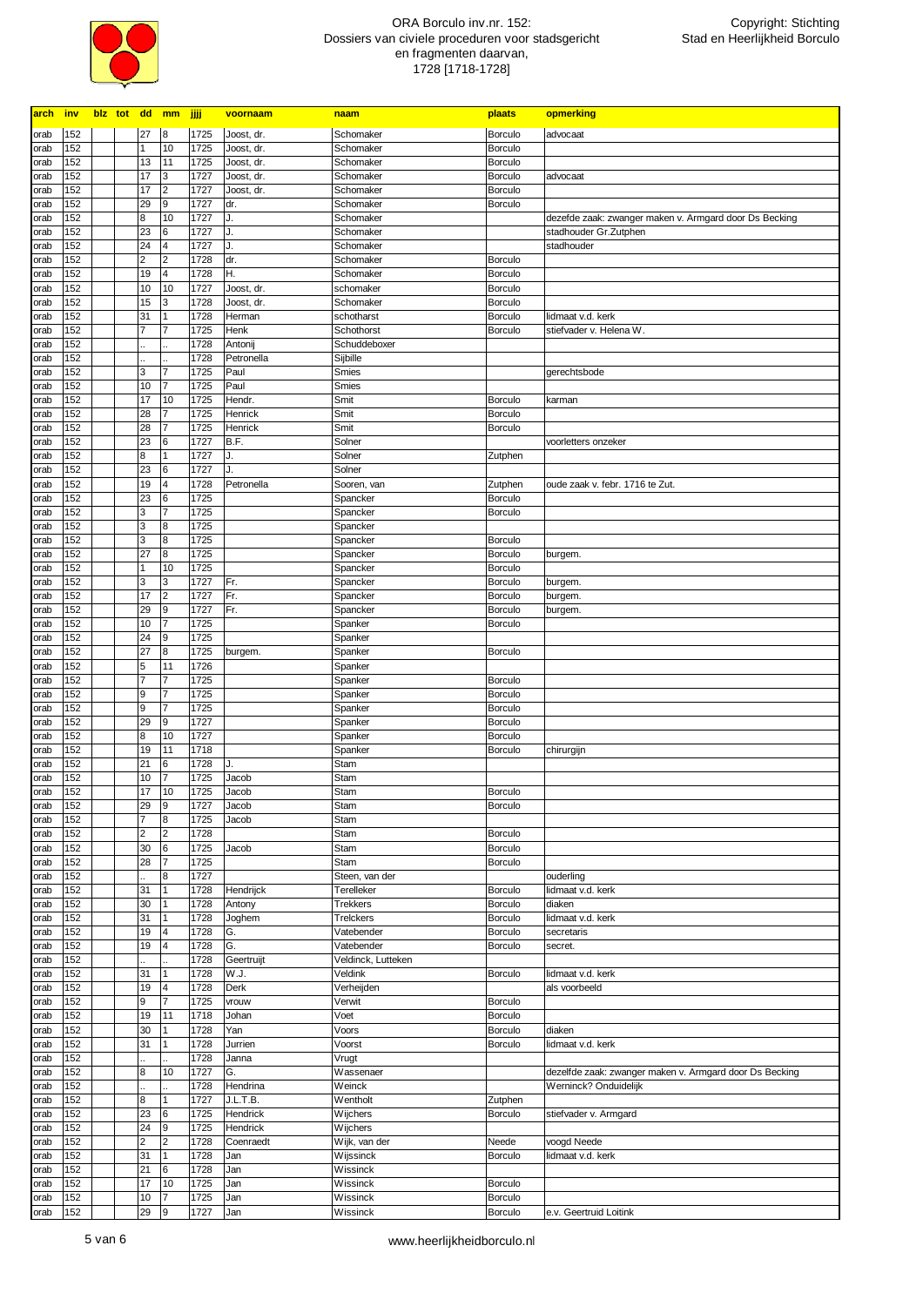

| arch         | <b>inv</b> |  | blz tot dd mm           |                         | <b>JJJ</b>   | voornaam             | naam                 | plaats             | opmerking                                               |
|--------------|------------|--|-------------------------|-------------------------|--------------|----------------------|----------------------|--------------------|---------------------------------------------------------|
| orab         | 152        |  | 27                      | 8                       | 1725         | Joost, dr.           | Schomaker            | <b>Borculo</b>     | advocaat                                                |
| orab         | 152        |  | 1                       | 10                      | 1725         | Joost, dr.           | Schomaker            | Borculo            |                                                         |
| orab         | 152        |  | 13                      | 11                      | 1725         | Joost, dr.           | Schomaker            | Borculo            |                                                         |
| orab         | 152        |  | 17                      | 3                       | 1727         | Joost, dr.           | Schomaker            | Borculo            | advocaat                                                |
| orab         | 152        |  | 17                      | $\overline{2}$          | 1727         | Joost, dr.           | Schomaker            | <b>Borculo</b>     |                                                         |
| orab         | 152        |  | 29                      | 9                       | 1727         | dr.                  | Schomaker            | <b>Borculo</b>     |                                                         |
| orab         | 152        |  | 8                       | 10                      | 1727         | J.                   | Schomaker            |                    | dezefde zaak: zwanger maken v. Armgard door Ds Becking  |
| orab         | 152        |  | 23                      | 6                       | 1727         | J.                   | Schomaker            |                    | stadhouder Gr.Zutphen                                   |
| orab         | 152        |  | 24                      | $\overline{4}$          | 1727         | J.                   | Schomaker            |                    | stadhouder                                              |
| orab         | 152        |  | 2                       | $\overline{2}$          | 1728         | dr.                  | Schomaker            | <b>Borculo</b>     |                                                         |
| orab         | 152        |  | 19                      | $\overline{4}$          | 1728         | Η.                   | Schomaker            | <b>Borculo</b>     |                                                         |
| orab         | 152        |  | 10                      | 10                      | 1727         | Joost, dr.           | schomaker            | <b>Borculo</b>     |                                                         |
| orab         | 152        |  | 15                      | 3                       | 1728         | Joost, dr.           | Schomaker            | <b>Borculo</b>     |                                                         |
| orab         | 152        |  | 31                      | $\vert$ 1               | 1728         | Herman               | schotharst           | <b>Borculo</b>     | lidmaat v.d. kerk                                       |
| orab         | 152        |  | 7                       | 7                       | 1725         | Henk                 | Schothorst           | <b>Borculo</b>     | stiefvader v. Helena W.                                 |
| orab         | 152        |  |                         |                         | 1728         | Antonij              | Schuddeboxer         |                    |                                                         |
| orab         | 152        |  |                         |                         | 1728         | Petronella           | Sijbille             |                    |                                                         |
| orab         | 152        |  | 3                       | $\overline{7}$          | 1725         | Paul                 | Smies                |                    | gerechtsbode                                            |
| orab         | 152        |  | 10                      | 7                       | 1725         | Paul                 | Smies                |                    |                                                         |
| orab         | 152        |  | 17                      | 10                      | 1725         | Hendr.               | Smit                 | <b>Borculo</b>     | karman                                                  |
| orab         | 152        |  | 28                      |                         | 1725         | Henrick              | Smit                 | <b>Borculo</b>     |                                                         |
| orab         | 152        |  | 28                      | 7                       | 1725         | Henrick              | Smit                 | <b>Borculo</b>     |                                                         |
| orab         | 152        |  | 23                      | 6                       | 1727         | B.F.                 | Solner               |                    | voorletters onzeker                                     |
| orab         | 152        |  | 8                       | $\vert$ 1               | 1727         | J.                   | Solner               | Zutphen            |                                                         |
| orab         | 152        |  | 23                      | 6                       | 1727         | J.                   | Solner               |                    |                                                         |
| orab         | 152        |  | 19                      | $\overline{4}$          | 1728         | Petronella           | Sooren, van          | Zutphen            | oude zaak v. febr. 1716 te Zut.                         |
| orab         | 152        |  | 23                      | 6                       | 1725         |                      | Spancker             | Borculo            |                                                         |
| orab         | 152        |  | 3                       | $\overline{7}$          | 1725         |                      | Spancker             | <b>Borculo</b>     |                                                         |
| orab         | 152        |  | 3                       | 8                       | 1725         |                      | Spancker             |                    |                                                         |
| orab         | 152        |  | 3                       | 8                       | 1725         |                      | Spancker             | Borculo            |                                                         |
| orab         | 152        |  | 27                      | 8                       | 1725         |                      | Spancker             | <b>Borculo</b>     | burgem.                                                 |
| orab         | 152        |  | 1                       | 10                      | 1725         |                      | Spancker             | Borculo            |                                                         |
| orab         | 152        |  | 3                       | 3                       | 1727         | Fr.                  | Spancker             | Borculo            | burgem.                                                 |
| orab         | 152        |  | 17                      | $\overline{2}$          | 1727         | Fr.                  | Spancker             | Borculo            | burgem.                                                 |
| orab         | 152        |  | 29                      | 9                       | 1727         | Fr.                  | Spancker             | Borculo            | burgem.                                                 |
| orab         | 152        |  | 10                      | $\overline{7}$          | 1725         |                      | Spanker              | <b>Borculo</b>     |                                                         |
| orab         | 152        |  | 24                      | 9                       | 1725         |                      | Spanker              |                    |                                                         |
| orab         | 152        |  | 27                      | 8                       | 1725         | burgem.              | Spanker              | <b>Borculo</b>     |                                                         |
| orab         | 152        |  | 5                       | 11                      | 1726         |                      | Spanker              |                    |                                                         |
| orab         | 152        |  | $\overline{7}$          | $\overline{7}$          | 1725         |                      | Spanker              | <b>Borculo</b>     |                                                         |
| orab         | 152        |  | 9                       | 17                      | 1725         |                      | Spanker              | <b>Borculo</b>     |                                                         |
| orab         | 152        |  | 9                       | $\overline{7}$          | 1725         |                      | Spanker              | <b>Borculo</b>     |                                                         |
| orab         | 152        |  | 29                      | 9                       | 1727         |                      | Spanker              | <b>Borculo</b>     |                                                         |
| orab<br>orab | 152<br>152 |  | 8<br>19                 | 10<br>11                | 1727<br>1718 |                      | Spanker<br>Spanker   | Borculo<br>Borculo |                                                         |
| orab         | 152        |  | 21                      | $6\phantom{.}6$         | 1728         | J.                   | Stam                 |                    | chirurgijn                                              |
| orab         | 152        |  | 10                      | $\overline{7}$          | 1725         | Jacob                | Stam                 |                    |                                                         |
| orab         | 152        |  | 17                      | 10                      | 1725         | Jacob                | Stam                 | <b>Borculo</b>     |                                                         |
| orab         | 152        |  | 29                      | 9                       | 1727         | Jacob                | Stam                 | Borculo            |                                                         |
| orab         | 152        |  | 7                       | $\boldsymbol{8}$        | 1725         | Jacob                | Stam                 |                    |                                                         |
| orab         | 152        |  | $\overline{\mathbf{c}}$ | $\overline{2}$          | 1728         |                      | Stam                 | Borculo            |                                                         |
| orab         | 152        |  | 30                      | 6                       | 1725         | Jacob                | Stam                 | Borculo            |                                                         |
| orab         | 152        |  | 28                      | 17                      | 1725         |                      | Stam                 | Borculo            |                                                         |
| orab         | 152        |  |                         | $\boldsymbol{8}$        | 1727         |                      | Steen, van der       |                    | ouderling                                               |
| orab         | 152        |  | 31                      | $\mathbf{1}$            | 1728         | Hendrijck            | Terelleker           | Borculo            | lidmaat v.d. kerk                                       |
| orab         | 152        |  | 30                      | $\mathbf{1}$            | 1728         | Antony               | <b>Trekkers</b>      | Borculo            | diaken                                                  |
| orab         | 152        |  | 31                      | $\mathbf{1}$            | 1728         | Joghem               | Trelckers            | Borculo            | lidmaat v.d. kerk                                       |
| orab         | 152        |  | 19                      | 4                       | 1728         | G.                   | Vatebender           | Borculo            | secretaris                                              |
| orab         | 152        |  | 19                      | $\overline{4}$          | 1728         | G.                   | Vatebender           | Borculo            | secret.                                                 |
| orab         | 152        |  |                         |                         | 1728         | Geertruijt           | Veldinck, Lutteken   |                    |                                                         |
| orab         | 152        |  | 31                      | $\mathbf{1}$            | 1728         | W.J.                 | Veldink              | Borculo            | lidmaat v.d. kerk                                       |
| orab         | 152        |  | 19                      | $\overline{\mathbf{4}}$ | 1728         | Derk                 | Verheijden           |                    | als voorbeeld                                           |
| orab         | 152        |  | 9                       | 7                       | 1725         | vrouw                | Verwit               | Borculo            |                                                         |
| orab         | 152        |  | 19                      | 11                      | 1718         | Johan                | Voet                 | Borculo            |                                                         |
| orab         | 152        |  | 30                      | 1                       | 1728         | Yan                  | Voors                | Borculo            | diaken                                                  |
| orab         | 152        |  | 31                      | 1                       | 1728         | Jurrien              | Voorst               | Borculo            | lidmaat v.d. kerk                                       |
| orab         | 152        |  |                         |                         | 1728         | Janna                | Vrugt                |                    |                                                         |
| orab         | 152        |  | 8                       | 10                      | 1727         | G.                   | Wassenaer            |                    | dezelfde zaak: zwanger maken v. Armgard door Ds Becking |
| orab         | 152        |  |                         |                         | 1728         | Hendrina             | Weinck               |                    | Werninck? Onduidelijk                                   |
| orab<br>orab | 152<br>152 |  | 8<br>23                 | $\mathbf{1}$<br>6       | 1727<br>1725 | J.L.T.B.<br>Hendrick | Wentholt<br>Wijchers | Zutphen<br>Borculo | stiefvader v. Armgard                                   |
| orab         | 152        |  | 24                      | 9                       | 1725         | Hendrick             | Wijchers             |                    |                                                         |
| orab         | 152        |  | $\overline{\mathbf{c}}$ | $\overline{2}$          | 1728         | Coenraedt            | Wijk, van der        | Neede              | voogd Neede                                             |
| orab         | 152        |  | 31                      | 1                       | 1728         | Jan                  | Wijssinck            | Borculo            | lidmaat v.d. kerk                                       |
| orab         | 152        |  | 21                      | 6                       | 1728         | Jan                  | Wissinck             |                    |                                                         |
| orab         | 152        |  | 17                      | 10                      | 1725         | Jan                  | Wissinck             | Borculo            |                                                         |
| orab         | 152        |  | 10                      | 17                      | 1725         | Jan                  | Wissinck             | Borculo            |                                                         |
| orab         | 152        |  | 29                      | 9                       | 1727         | Jan                  | Wissinck             | Borculo            | e.v. Geertruid Loitink                                  |